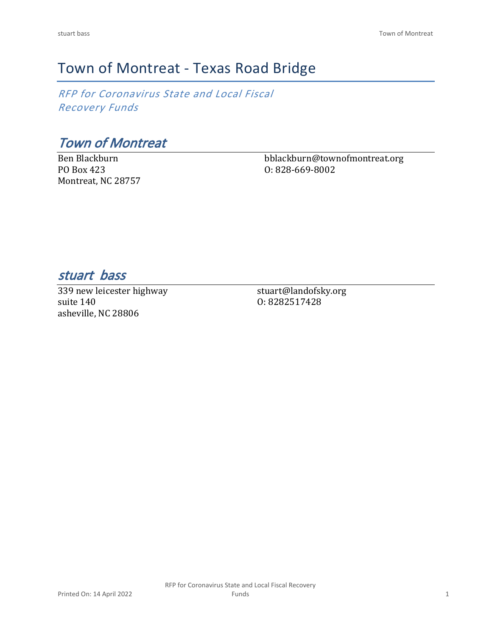# Town of Montreat - Texas Road Bridge

*RFP for Coronavirus State and Local Fiscal Recovery Funds*

*Town of Montreat*

Ben Blackburn PO Box 423 Montreat, NC 28757 bblackburn@townofmontreat.org O: 828-669-8002

*stuart bass* 

339 new leicester highway suite 140 asheville, NC 28806

stuart@landofsky.org O: 8282517428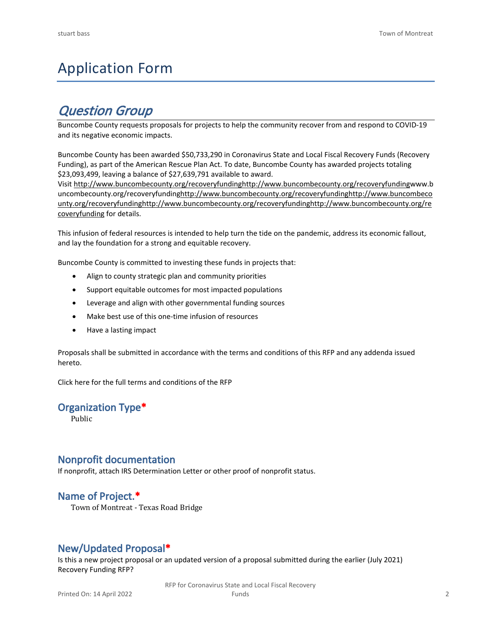# Application Form

## *Question Group*

Buncombe County requests proposals for projects to help the community recover from and respond to COVID-19 and its negative economic impacts.

Buncombe County has been awarded \$50,733,290 in Coronavirus State and Local Fiscal Recovery Funds (Recovery Funding), as part of the American Rescue Plan Act. To date, Buncombe County has awarded projects totaling \$23,093,499, leaving a balance of \$27,639,791 available to award.

Visit [http://www.buncombecounty.org/recoveryfundinghttp://www.buncombecounty.org/recoveryfundingwww.b](http://www.buncombecounty.org/recoveryfunding) [uncombecounty.org/recoveryfundinghttp://www.buncombecounty.org/recoveryfundinghttp://www.buncombeco](http://www.buncombecounty.org/recoveryfunding) [unty.org/recoveryfundinghttp://www.buncombecounty.org/recoveryfundinghttp://www.buncombecounty.org/re](http://www.buncombecounty.org/recoveryfunding) [coveryfunding](http://www.buncombecounty.org/recoveryfunding) for details.

This infusion of federal resources is intended to help turn the tide on the pandemic, address its economic fallout, and lay the foundation for a strong and equitable recovery.

Buncombe County is committed to investing these funds in projects that:

- Align to county strategic plan and community priorities
- Support equitable outcomes for most impacted populations
- Leverage and align with other governmental funding sources
- Make best use of this one-time infusion of resources
- Have a lasting impact

Proposals shall be submitted in accordance with the terms and conditions of this RFP and any addenda issued hereto.

Click [here](https://www.buncombecounty.org/common/purchasing/Buncombe%20Recovery%20Funding%20RFP%202022.pdf) for the full terms and conditions of the RFP

### **Organization Type\***

Public

### **Nonprofit documentation**

If nonprofit, attach IRS Determination Letter or other proof of nonprofit status.

### **Name of Project.\***

Town of Montreat - Texas Road Bridge

### **New/Updated Proposal\***

Is this a new project proposal or an updated version of a proposal submitted during the earlier (July 2021) Recovery Funding RFP?

> RFP for Coronavirus State and Local Fiscal Recovery Funds 2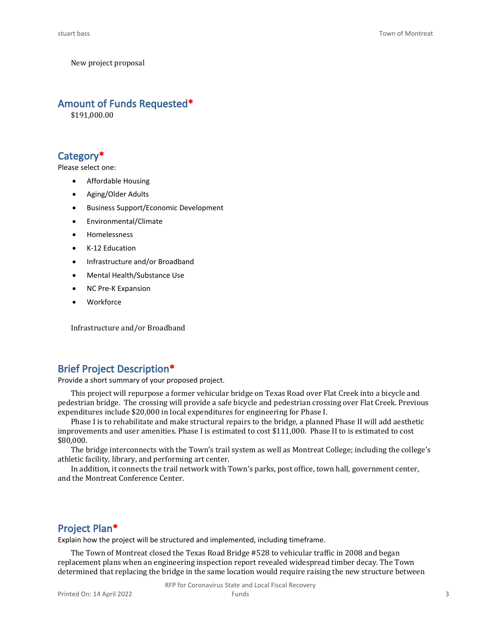New project proposal

#### **Amount of Funds Requested\***

\$191,000.00

### **Category\***

Please select one:

- Affordable Housing
- Aging/Older Adults
- Business Support/Economic Development
- Environmental/Climate
- Homelessness
- K-12 Education
- Infrastructure and/or Broadband
- Mental Health/Substance Use
- NC Pre-K Expansion
- **Workforce**

Infrastructure and/or Broadband

### **Brief Project Description\***

Provide a short summary of your proposed project.

This project will repurpose a former vehicular bridge on Texas Road over Flat Creek into a bicycle and pedestrian bridge. The crossing will provide a safe bicycle and pedestrian crossing over Flat Creek. Previous expenditures include \$20,000 in local expenditures for engineering for Phase I.

Phase I is to rehabilitate and make structural repairs to the bridge, a planned Phase II will add aesthetic improvements and user amenities. Phase I is estimated to cost \$111,000. Phase II to is estimated to cost \$80,000.

The bridge interconnects with the Town's trail system as well as Montreat College; including the college's athletic facility, library, and performing art center.

In addition, it connects the trail network with Town's parks, post office, town hall, government center, and the Montreat Conference Center.

### **Project Plan\***

Explain how the project will be structured and implemented, including timeframe.

The Town of Montreat closed the Texas Road Bridge #528 to vehicular traffic in 2008 and began replacement plans when an engineering inspection report revealed widespread timber decay. The Town determined that replacing the bridge in the same location would require raising the new structure between

RFP for Coronavirus State and Local Fiscal Recovery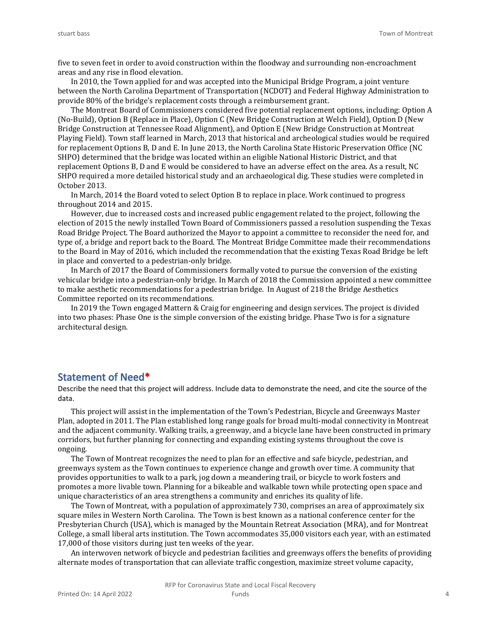five to seven feet in order to avoid construction within the floodway and surrounding non-encroachment areas and any rise in flood elevation.

In 2010, the Town applied for and was accepted into the Municipal Bridge Program, a joint venture between the North Carolina Department of Transportation (NCDOT) and Federal Highway Administration to provide 80% of the bridge's replacement costs through a reimbursement grant.

The Montreat Board of Commissioners considered five potential replacement options, including: Option A (No-Build), Option B (Replace in Place), Option C (New Bridge Construction at Welch Field), Option D (New Bridge Construction at Tennessee Road Alignment), and Option E (New Bridge Construction at Montreat Playing Field). Town staff learned in March, 2013 that historical and archeological studies would be required for replacement Options B, D and E. In June 2013, the North Carolina State Historic Preservation Office (NC SHPO) determined that the bridge was located within an eligible National Historic District, and that replacement Options B, D and E would be considered to have an adverse effect on the area. As a result, NC SHPO required a more detailed historical study and an archaeological dig. These studies were completed in October 2013.

In March, 2014 the Board voted to select Option B to replace in place. Work continued to progress throughout 2014 and 2015.

However, due to increased costs and increased public engagement related to the project, following the election of 2015 the newly installed Town Board of Commissioners passed a resolution suspending the Texas Road Bridge Project. The Board authorized the Mayor to appoint a committee to reconsider the need for, and type of, a bridge and report back to the Board. The Montreat Bridge Committee made their recommendations to the Board in May of 2016, which included the recommendation that the existing Texas Road Bridge be left in place and converted to a pedestrian-only bridge.

In March of 2017 the Board of Commissioners formally voted to pursue the conversion of the existing vehicular bridge into a pedestrian-only bridge. In March of 2018 the Commission appointed a new committee to make aesthetic recommendations for a pedestrian bridge. In August of 218 the Bridge Aesthetics Committee reported on its recommendations.

In 2019 the Town engaged Mattern & Craig for engineering and design services. The project is divided into two phases: Phase One is the simple conversion of the existing bridge. Phase Two is for a signature architectural design.

### **Statement of Need\***

Describe the need that this project will address. Include data to demonstrate the need, and cite the source of the data.

This project will assist in the implementation of the Town's Pedestrian, Bicycle and Greenways Master Plan, adopted in 2011. The Plan established long range goals for broad multi-modal connectivity in Montreat and the adjacent community. Walking trails, a greenway, and a bicycle lane have been constructed in primary corridors, but further planning for connecting and expanding existing systems throughout the cove is ongoing.

The Town of Montreat recognizes the need to plan for an effective and safe bicycle, pedestrian, and greenways system as the Town continues to experience change and growth over time. A community that provides opportunities to walk to a park, jog down a meandering trail, or bicycle to work fosters and promotes a more livable town. Planning for a bikeable and walkable town while protecting open space and unique characteristics of an area strengthens a community and enriches its quality of life.

The Town of Montreat, with a population of approximately 730, comprises an area of approximately six square miles in Western North Carolina. The Town is best known as a national conference center for the Presbyterian Church (USA), which is managed by the Mountain Retreat Association (MRA), and for Montreat College, a small liberal arts institution. The Town accommodates 35,000 visitors each year, with an estimated 17,000 of those visitors during just ten weeks of the year.

An interwoven network of bicycle and pedestrian facilities and greenways offers the benefits of providing alternate modes of transportation that can alleviate traffic congestion, maximize street volume capacity,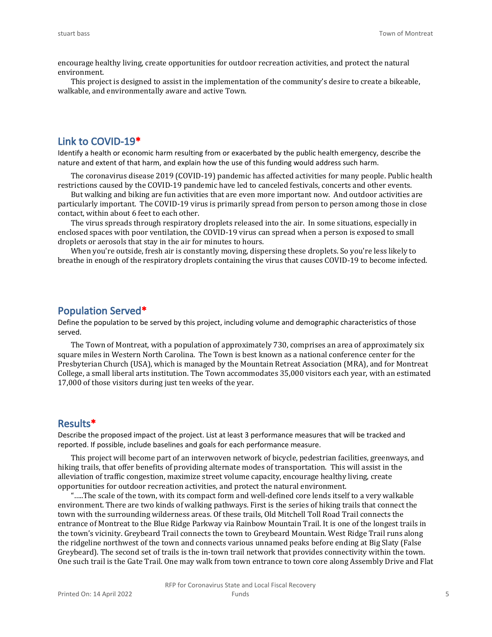encourage healthy living, create opportunities for outdoor recreation activities, and protect the natural environment.

This project is designed to assist in the implementation of the community's desire to create a bikeable, walkable, and environmentally aware and active Town.

### **Link to COVID-19\***

Identify a health or economic harm resulting from or exacerbated by the public health emergency, describe the nature and extent of that harm, and explain how the use of this funding would address such harm.

The coronavirus disease 2019 (COVID-19) pandemic has affected activities for many people. Public health restrictions caused by the COVID-19 pandemic have led to canceled festivals, concerts and other events.

But walking and biking are fun activities that are even more important now. And outdoor activities are particularly important. The COVID-19 virus is primarily spread from person to person among those in close contact, within about 6 feet to each other.

The virus spreads through respiratory droplets released into the air. In some situations, especially in enclosed spaces with poor ventilation, the COVID-19 virus can spread when a person is exposed to small droplets or aerosols that stay in the air for minutes to hours.

When you're outside, fresh air is constantly moving, dispersing these droplets. So you're less likely to breathe in enough of the respiratory droplets containing the virus that causes COVID-19 to become infected.

### **Population Served\***

Define the population to be served by this project, including volume and demographic characteristics of those served.

The Town of Montreat, with a population of approximately 730, comprises an area of approximately six square miles in Western North Carolina. The Town is best known as a national conference center for the Presbyterian Church (USA), which is managed by the Mountain Retreat Association (MRA), and for Montreat College, a small liberal arts institution. The Town accommodates 35,000 visitors each year, with an estimated 17,000 of those visitors during just ten weeks of the year.

#### **Results\***

Describe the proposed impact of the project. List at least 3 performance measures that will be tracked and reported. If possible, include baselines and goals for each performance measure.

This project will become part of an interwoven network of bicycle, pedestrian facilities, greenways, and hiking trails, that offer benefits of providing alternate modes of transportation. This will assist in the alleviation of traffic congestion, maximize street volume capacity, encourage healthy living, create opportunities for outdoor recreation activities, and protect the natural environment.

"…..The scale of the town, with its compact form and well-defined core lends itself to a very walkable environment. There are two kinds of walking pathways. First is the series of hiking trails that connect the town with the surrounding wilderness areas. Of these trails, Old Mitchell Toll Road Trail connects the entrance of Montreat to the Blue Ridge Parkway via Rainbow Mountain Trail. It is one of the longest trails in the town's vicinity. Greybeard Trail connects the town to Greybeard Mountain. West Ridge Trail runs along the ridgeline northwest of the town and connects various unnamed peaks before ending at Big Slaty (False Greybeard). The second set of trails is the in-town trail network that provides connectivity within the town. One such trail is the Gate Trail. One may walk from town entrance to town core along Assembly Drive and Flat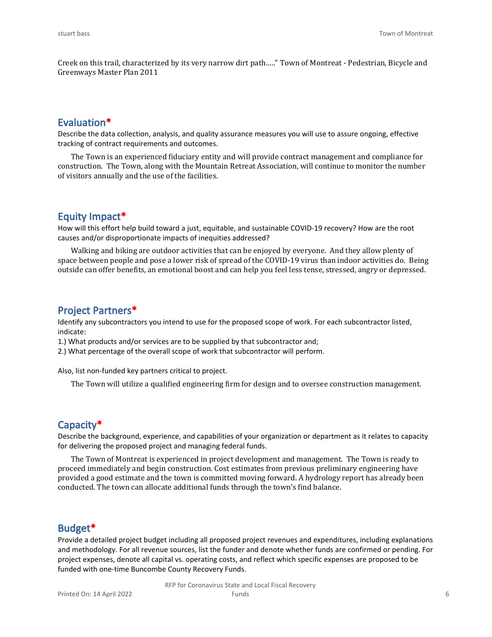Creek on this trail, characterized by its very narrow dirt path….." Town of Montreat - Pedestrian, Bicycle and Greenways Master Plan 2011

### **Evaluation\***

Describe the data collection, analysis, and quality assurance measures you will use to assure ongoing, effective tracking of contract requirements and outcomes.

The Town is an experienced fiduciary entity and will provide contract management and compliance for construction. The Town, along with the Mountain Retreat Association, will continue to monitor the number of visitors annually and the use of the facilities.

### **Equity Impact\***

How will this effort help build toward a just, equitable, and sustainable COVID-19 recovery? How are the root causes and/or disproportionate impacts of inequities addressed?

Walking and biking are outdoor activities that can be enjoyed by everyone. And they allow plenty of space between people and pose a lower risk of spread of the COVID-19 virus than indoor activities do. Being outside can offer benefits, an emotional boost and can help you feel less tense, stressed, angry or depressed.

### **Project Partners\***

Identify any subcontractors you intend to use for the proposed scope of work. For each subcontractor listed, indicate:

1.) What products and/or services are to be supplied by that subcontractor and;

2.) What percentage of the overall scope of work that subcontractor will perform.

Also, list non-funded key partners critical to project.

The Town will utilize a qualified engineering firm for design and to oversee construction management.

#### **Capacity\***

Describe the background, experience, and capabilities of your organization or department as it relates to capacity for delivering the proposed project and managing federal funds.

The Town of Montreat is experienced in project development and management. The Town is ready to proceed immediately and begin construction. Cost estimates from previous preliminary engineering have provided a good estimate and the town is committed moving forward. A hydrology report has already been conducted. The town can allocate additional funds through the town's find balance.

#### **Budget\***

Provide a detailed project budget including all proposed project revenues and expenditures, including explanations and methodology. For all revenue sources, list the funder and denote whether funds are confirmed or pending. For project expenses, denote all capital vs. operating costs, and reflect which specific expenses are proposed to be funded with one-time Buncombe County Recovery Funds.

> RFP for Coronavirus State and Local Fiscal Recovery Funds 6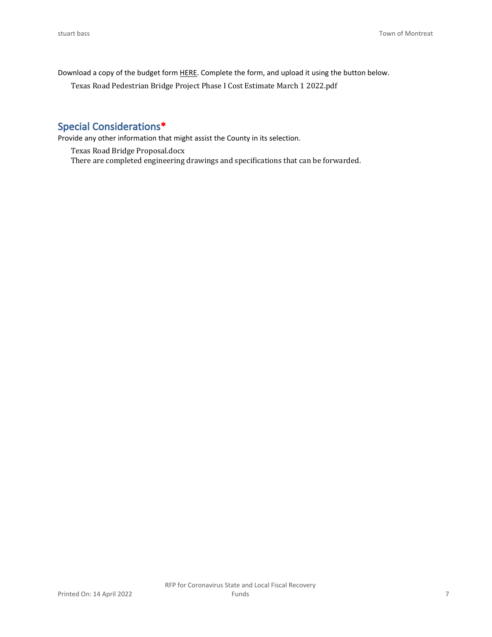Download a copy of the budget form [HERE](https://buncombecounty.org/common/community-investment/grants/early-childhood-education/Recovery-Funds-budget-template.xlsx). Complete the form, and upload it using the button below.

Texas Road Pedestrian Bridge Project Phase I Cost Estimate March 1 2022.pdf

### **Special Considerations\***

Provide any other information that might assist the County in its selection.

Texas Road Bridge Proposal.docx There are completed engineering drawings and specifications that can be forwarded.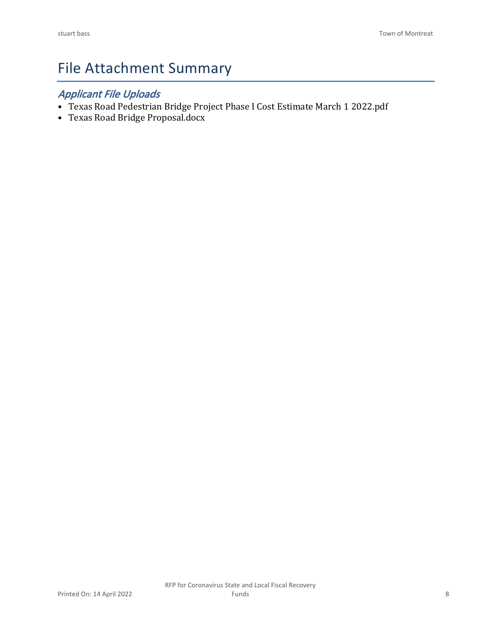# File Attachment Summary

### *Applicant File Uploads*

- Texas Road Pedestrian Bridge Project Phase I Cost Estimate March 1 2022.pdf
- Texas Road Bridge Proposal.docx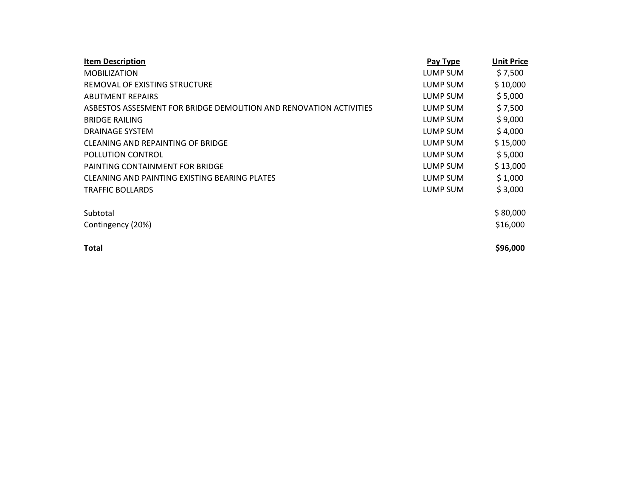| <b>Item Description</b>                                            | Pay Type | <b>Unit Price</b> |
|--------------------------------------------------------------------|----------|-------------------|
| <b>MOBILIZATION</b>                                                | LUMP SUM | \$7,500           |
| REMOVAL OF EXISTING STRUCTURE                                      | LUMP SUM | \$10,000          |
| <b>ABUTMENT REPAIRS</b>                                            | LUMP SUM | \$5,000           |
| ASBESTOS ASSESMENT FOR BRIDGE DEMOLITION AND RENOVATION ACTIVITIES | LUMP SUM | \$7,500           |
| <b>BRIDGE RAILING</b>                                              | LUMP SUM | \$9,000           |
| DRAINAGE SYSTEM                                                    | LUMP SUM | \$4,000           |
| CLEANING AND REPAINTING OF BRIDGE                                  | LUMP SUM | \$15,000          |
| POLLUTION CONTROL                                                  | LUMP SUM | \$5,000           |
| PAINTING CONTAINMENT FOR BRIDGE                                    | LUMP SUM | \$13,000          |
| CLEANING AND PAINTING EXISTING BEARING PLATES                      | LUMP SUM | \$1,000           |
| TRAFFIC BOLLARDS                                                   | LUMP SUM | \$3,000           |
| Subtotal                                                           |          | \$80,000          |
| Contingency (20%)                                                  |          | \$16,000          |
| Total                                                              |          | \$96,000          |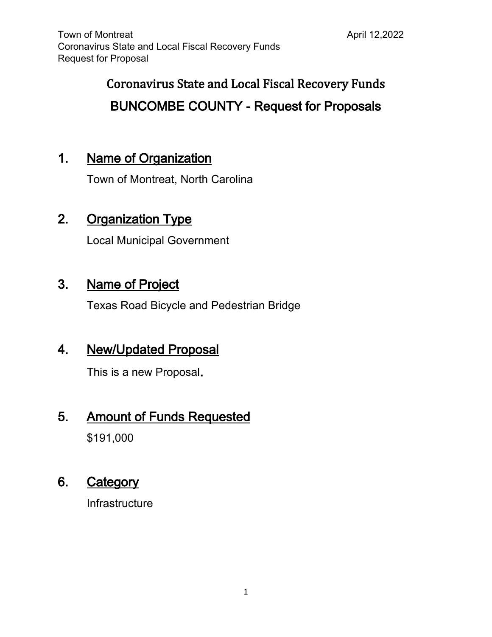# **Coronavirus State and Local Fiscal Recovery Funds BUNCOMBE COUNTY - Request for Proposals**

## **1. Name of Organization**

Town of Montreat, North Carolina

## **2. Organization Type**

Local Municipal Government

## **3. Name of Project**

Texas Road Bicycle and Pedestrian Bridge

## **4. New/Updated Proposal**

This is a new Proposal**.**

## **5. Amount of Funds Requested**

\$191,000

## **6. Category**

Infrastructure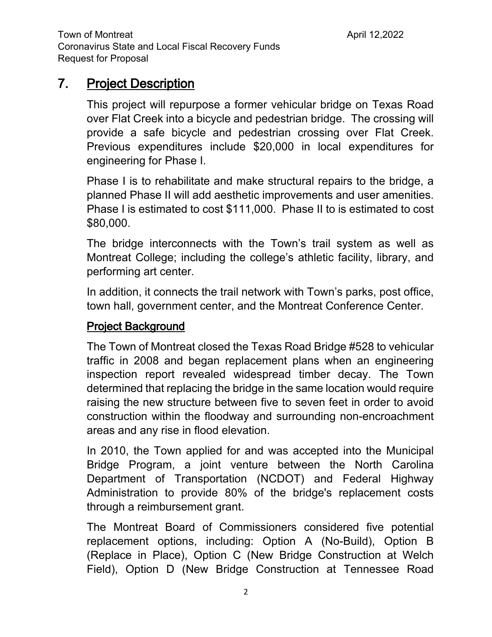## **7. Project Description**

This project will repurpose a former vehicular bridge on Texas Road over Flat Creek into a bicycle and pedestrian bridge. The crossing will provide a safe bicycle and pedestrian crossing over Flat Creek. Previous expenditures include \$20,000 in local expenditures for engineering for Phase I.

Phase I is to rehabilitate and make structural repairs to the bridge, a planned Phase II will add aesthetic improvements and user amenities. Phase I is estimated to cost \$111,000. Phase II to is estimated to cost \$80,000.

The bridge interconnects with the Town's trail system as well as Montreat College; including the college's athletic facility, library, and performing art center.

In addition, it connects the trail network with Town's parks, post office, town hall, government center, and the Montreat Conference Center.

## **Project Background**

The Town of Montreat closed the Texas Road Bridge #528 to vehicular traffic in 2008 and began replacement plans when an engineering inspection report revealed widespread timber decay. The Town determined that replacing the bridge in the same location would require raising the new structure between five to seven feet in order to avoid construction within the floodway and surrounding non-encroachment areas and any rise in flood elevation.

In 2010, the Town applied for and was accepted into the Municipal Bridge Program, a joint venture between the North Carolina Department of Transportation (NCDOT) and Federal Highway Administration to provide 80% of the bridge's replacement costs through a reimbursement grant.

The Montreat Board of Commissioners considered five potential replacement options, including: Option A (No-Build), Option B (Replace in Place), Option C (New Bridge Construction at Welch Field), Option D (New Bridge Construction at Tennessee Road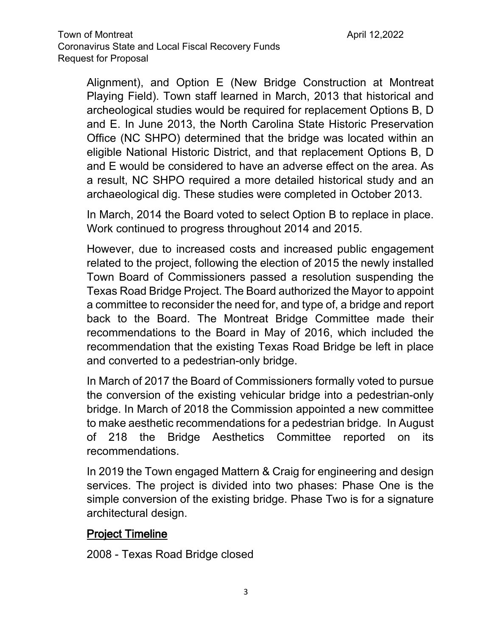Alignment), and Option E (New Bridge Construction at Montreat Playing Field). Town staff learned in March, 2013 that historical and archeological studies would be required for replacement Options B, D and E. In June 2013, the North Carolina State Historic Preservation Office (NC SHPO) determined that the bridge was located within an eligible National Historic District, and that replacement Options B, D and E would be considered to have an adverse effect on the area. As a result, NC SHPO required a more detailed historical study and an archaeological dig. These studies were completed in October 2013.

In March, 2014 the Board voted to select Option B to replace in place. Work continued to progress throughout 2014 and 2015.

However, due to increased costs and increased public engagement related to the project, following the election of 2015 the newly installed Town Board of Commissioners passed a resolution suspending the Texas Road Bridge Project. The Board authorized the Mayor to appoint a committee to reconsider the need for, and type of, a bridge and report back to the Board. The Montreat Bridge Committee made their recommendations to the Board in May of 2016, which included the recommendation that the existing Texas Road Bridge be left in place and converted to a pedestrian-only bridge.

In March of 2017 the Board of Commissioners formally voted to pursue the conversion of the existing vehicular bridge into a pedestrian-only bridge. In March of 2018 the Commission appointed a new committee to make aesthetic recommendations for a pedestrian bridge. In August of 218 the Bridge Aesthetics Committee reported on its recommendations.

In 2019 the Town engaged Mattern & Craig for engineering and design services. The project is divided into two phases: Phase One is the simple conversion of the existing bridge. Phase Two is for a signature architectural design.

### **Project Timeline**

2008 - Texas Road Bridge closed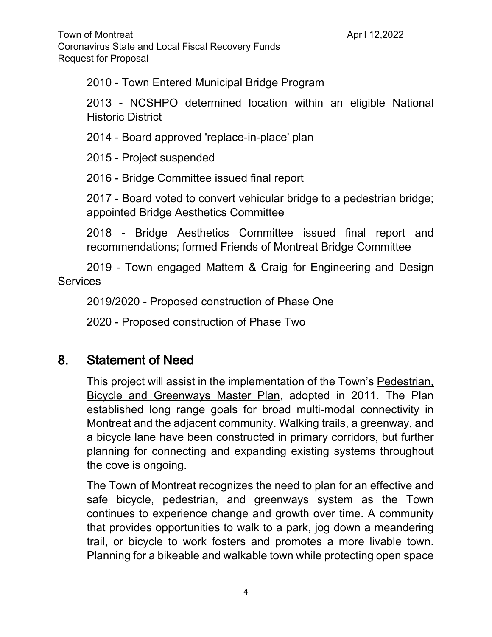Town of Montreat **April 12,2022** Coronavirus State and Local Fiscal Recovery Funds Request for Proposal

2010 - Town Entered Municipal Bridge Program

2013 - NCSHPO determined location within an eligible National Historic District

2014 - Board approved 'replace-in-place' plan

2015 - Project suspended

2016 - Bridge Committee issued final report

2017 - Board voted to convert vehicular bridge to a pedestrian bridge; appointed Bridge Aesthetics Committee

2018 - Bridge Aesthetics Committee issued final report and recommendations; formed Friends of Montreat Bridge Committee

2019 - Town engaged Mattern & Craig for Engineering and Design **Services** 

2019/2020 - Proposed construction of Phase One

2020 - Proposed construction of Phase Two

## **8. Statement of Need**

This project will assist in the implementation of the Town's Pedestrian, Bicycle and Greenways Master Plan, adopted in 2011. The Plan established long range goals for broad multi-modal connectivity in Montreat and the adjacent community. Walking trails, a greenway, and a bicycle lane have been constructed in primary corridors, but further planning for connecting and expanding existing systems throughout the cove is ongoing.

The Town of Montreat recognizes the need to plan for an effective and safe bicycle, pedestrian, and greenways system as the Town continues to experience change and growth over time. A community that provides opportunities to walk to a park, jog down a meandering trail, or bicycle to work fosters and promotes a more livable town. Planning for a bikeable and walkable town while protecting open space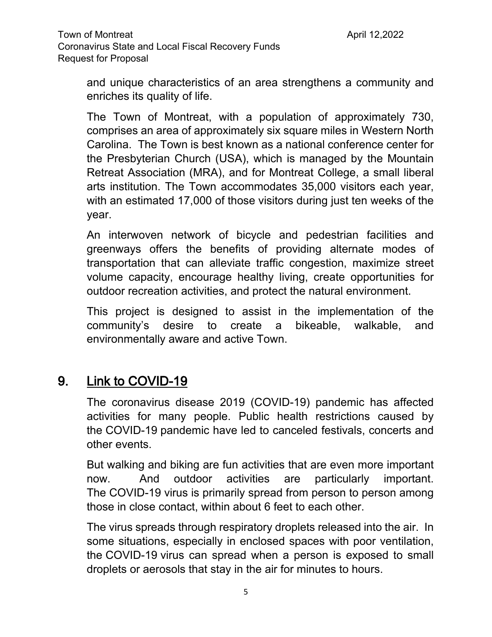and unique characteristics of an area strengthens a community and enriches its quality of life.

The Town of Montreat, with a population of approximately 730, comprises an area of approximately six square miles in Western North Carolina. The Town is best known as a national conference center for the Presbyterian Church (USA), which is managed by the Mountain Retreat Association (MRA), and for Montreat College, a small liberal arts institution. The Town accommodates 35,000 visitors each year, with an estimated 17,000 of those visitors during just ten weeks of the year.

An interwoven network of bicycle and pedestrian facilities and greenways offers the benefits of providing alternate modes of transportation that can alleviate traffic congestion, maximize street volume capacity, encourage healthy living, create opportunities for outdoor recreation activities, and protect the natural environment.

This project is designed to assist in the implementation of the community's desire to create a bikeable, walkable, and environmentally aware and active Town.

## **9. Link to COVID-19**

The coronavirus disease 2019 (COVID-19) pandemic has affected activities for many people. Public health restrictions caused by the COVID-19 pandemic have led to canceled festivals, concerts and other events.

But walking and biking are fun activities that are even more important now. And outdoor activities are particularly important. The COVID-19 virus is primarily spread from person to person among those in close contact, within about 6 feet to each other.

The virus spreads through respiratory droplets released into the air. In some situations, especially in enclosed spaces with poor ventilation, the COVID-19 virus can spread when a person is exposed to small droplets or aerosols that stay in the air for minutes to hours.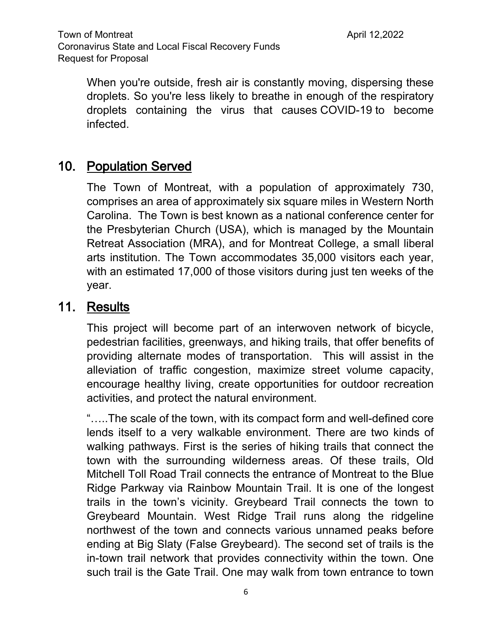Town of Montreat **April 12,2022** Coronavirus State and Local Fiscal Recovery Funds Request for Proposal

When you're outside, fresh air is constantly moving, dispersing these droplets. So you're less likely to breathe in enough of the respiratory droplets containing the virus that causes COVID-19 to become infected.

## **10. Population Served**

The Town of Montreat, with a population of approximately 730, comprises an area of approximately six square miles in Western North Carolina. The Town is best known as a national conference center for the Presbyterian Church (USA), which is managed by the Mountain Retreat Association (MRA), and for Montreat College, a small liberal arts institution. The Town accommodates 35,000 visitors each year, with an estimated 17,000 of those visitors during just ten weeks of the year.

## **11. Results**

This project will become part of an interwoven network of bicycle, pedestrian facilities, greenways, and hiking trails, that offer benefits of providing alternate modes of transportation. This will assist in the alleviation of traffic congestion, maximize street volume capacity, encourage healthy living, create opportunities for outdoor recreation activities, and protect the natural environment.

"…..The scale of the town, with its compact form and well-defined core lends itself to a very walkable environment. There are two kinds of walking pathways. First is the series of hiking trails that connect the town with the surrounding wilderness areas. Of these trails, Old Mitchell Toll Road Trail connects the entrance of Montreat to the Blue Ridge Parkway via Rainbow Mountain Trail. It is one of the longest trails in the town's vicinity. Greybeard Trail connects the town to Greybeard Mountain. West Ridge Trail runs along the ridgeline northwest of the town and connects various unnamed peaks before ending at Big Slaty (False Greybeard). The second set of trails is the in-town trail network that provides connectivity within the town. One such trail is the Gate Trail. One may walk from town entrance to town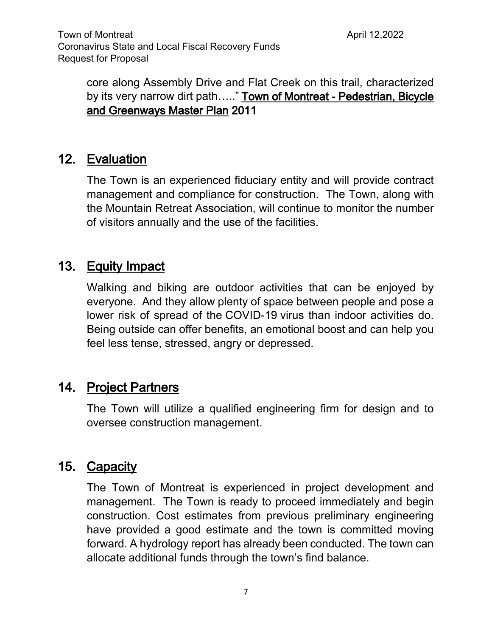core along Assembly Drive and Flat Creek on this trail, characterized by its very narrow dirt path….." **Town of Montreat - Pedestrian, Bicycle and Greenways Master Plan 2011**

## **12. Evaluation**

The Town is an experienced fiduciary entity and will provide contract management and compliance for construction. The Town, along with the Mountain Retreat Association, will continue to monitor the number of visitors annually and the use of the facilities.

## **13. Equity Impact**

Walking and biking are outdoor activities that can be enjoyed by everyone. And they allow plenty of space between people and pose a lower risk of spread of the COVID-19 virus than indoor activities do. Being outside can offer benefits, an emotional boost and can help you feel less tense, stressed, angry or depressed.

## **14. Project Partners**

The Town will utilize a qualified engineering firm for design and to oversee construction management.

## **15. Capacity**

The Town of Montreat is experienced in project development and management. The Town is ready to proceed immediately and begin construction. Cost estimates from previous preliminary engineering have provided a good estimate and the town is committed moving forward. A hydrology report has already been conducted. The town can allocate additional funds through the town's find balance.